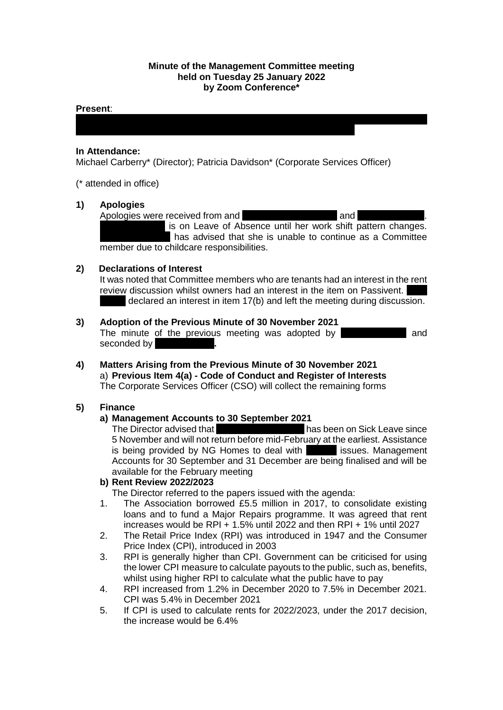## **Minute of the Management Committee meeting held on Tuesday 25 January 2022 by Zoom Conference\***

Manal Eshelli; Martin Forrest\*; Sakina Masih; Kerry McCann; Helen McCartney\*;

#### **Present**:

## **In Attendance:**

Michael Carberry\* (Director); Patricia Davidson\* (Corporate Services Officer)

(\* attended in office)

## **1) Apologies**



is on Leave of Absence until her work shift pattern changes. has advised that she is unable to continue as a Committee member due to childcare responsibilities.

## **2) Declarations of Interest**

It was noted that Committee members who are tenants had an interest in the rent review discussion whilst owners had an interest in the item on Passivent. declared an interest in item  $17(b)$  and left the meeting during discussion.

- **3) Adoption of the Previous Minute of 30 November 2021** The minute of the previous meeting was adopted by **Martin Formand** seconded by
- **4) Matters Arising from the Previous Minute of 30 November 2021** a) **Previous Item 4(a) - Code of Conduct and Register of Interests** The Corporate Services Officer (CSO) will collect the remaining forms

## **5) Finance**

## **a) Management Accounts to 30 September 2021**

The Director advised that the Finance Assistant has been on Sick Leave since 5 November and will not return before mid-February at the earliest. Assistance is being provided by NG Homes to deal with **the inance issues. Management** Accounts for 30 September and 31 December are being finalised and will be available for the February meeting

#### **b) Rent Review 2022/2023**

The Director referred to the papers issued with the agenda:

- 1. The Association borrowed £5.5 million in 2017, to consolidate existing loans and to fund a Major Repairs programme. It was agreed that rent increases would be RPI + 1.5% until 2022 and then RPI + 1% until 2027
- 2. The Retail Price Index (RPI) was introduced in 1947 and the Consumer Price Index (CPI), introduced in 2003
- 3. RPI is generally higher than CPI. Government can be criticised for using the lower CPI measure to calculate payouts to the public, such as, benefits, whilst using higher RPI to calculate what the public have to pay
- 4. RPI increased from 1.2% in December 2020 to 7.5% in December 2021. CPI was 5.4% in December 2021
- 5. If CPI is used to calculate rents for 2022/2023, under the 2017 decision, the increase would be 6.4%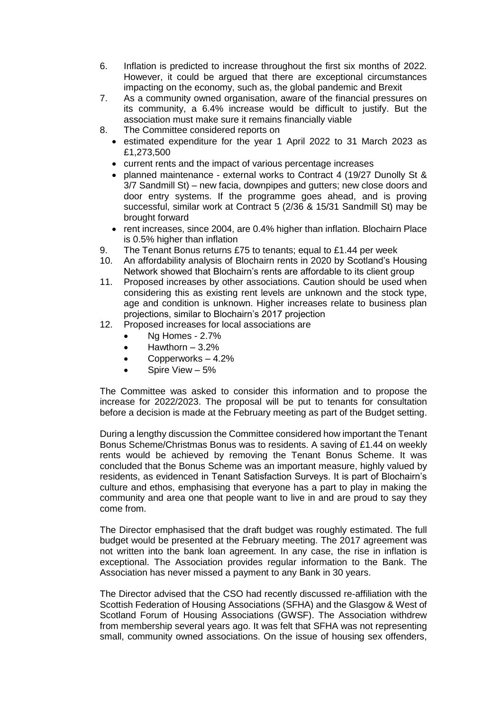- 6. Inflation is predicted to increase throughout the first six months of 2022. However, it could be argued that there are exceptional circumstances impacting on the economy, such as, the global pandemic and Brexit
- 7. As a community owned organisation, aware of the financial pressures on its community, a 6.4% increase would be difficult to justify. But the association must make sure it remains financially viable
- 8. The Committee considered reports on
	- estimated expenditure for the year 1 April 2022 to 31 March 2023 as £1,273,500
	- current rents and the impact of various percentage increases
	- planned maintenance external works to Contract 4 (19/27 Dunolly St & 3/7 Sandmill St) – new facia, downpipes and gutters; new close doors and door entry systems. If the programme goes ahead, and is proving successful, similar work at Contract 5 (2/36 & 15/31 Sandmill St) may be brought forward
	- rent increases, since 2004, are 0.4% higher than inflation. Blochairn Place is 0.5% higher than inflation
- 9. The Tenant Bonus returns £75 to tenants; equal to £1.44 per week
- 10. An affordability analysis of Blochairn rents in 2020 by Scotland's Housing Network showed that Blochairn's rents are affordable to its client group
- 11. Proposed increases by other associations. Caution should be used when considering this as existing rent levels are unknown and the stock type, age and condition is unknown. Higher increases relate to business plan projections, similar to Blochairn's 2017 projection
- 12. Proposed increases for local associations are
	- Ng Homes 2.7%
	- $\bullet$  Hawthorn  $-3.2\%$
	- Copperworks 4.2%
	- Spire View 5%

The Committee was asked to consider this information and to propose the increase for 2022/2023. The proposal will be put to tenants for consultation before a decision is made at the February meeting as part of the Budget setting.

During a lengthy discussion the Committee considered how important the Tenant Bonus Scheme/Christmas Bonus was to residents. A saving of £1.44 on weekly rents would be achieved by removing the Tenant Bonus Scheme. It was concluded that the Bonus Scheme was an important measure, highly valued by residents, as evidenced in Tenant Satisfaction Surveys. It is part of Blochairn's culture and ethos, emphasising that everyone has a part to play in making the community and area one that people want to live in and are proud to say they come from.

The Director emphasised that the draft budget was roughly estimated. The full budget would be presented at the February meeting. The 2017 agreement was not written into the bank loan agreement. In any case, the rise in inflation is exceptional. The Association provides regular information to the Bank. The Association has never missed a payment to any Bank in 30 years.

The Director advised that the CSO had recently discussed re-affiliation with the Scottish Federation of Housing Associations (SFHA) and the Glasgow & West of Scotland Forum of Housing Associations (GWSF). The Association withdrew from membership several years ago. It was felt that SFHA was not representing small, community owned associations. On the issue of housing sex offenders,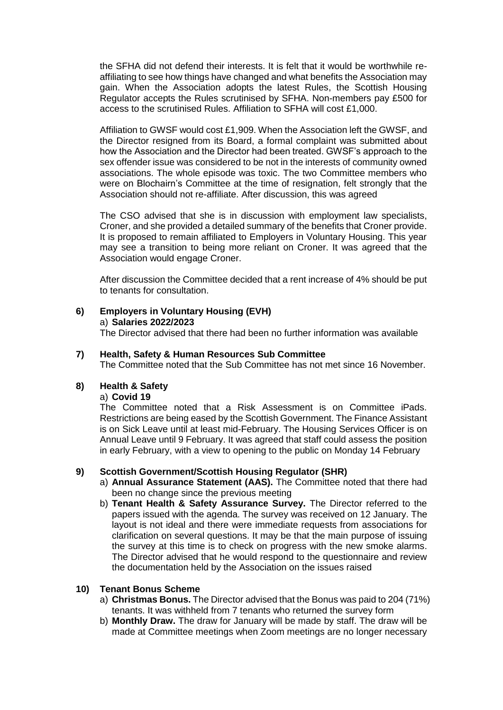the SFHA did not defend their interests. It is felt that it would be worthwhile reaffiliating to see how things have changed and what benefits the Association may gain. When the Association adopts the latest Rules, the Scottish Housing Regulator accepts the Rules scrutinised by SFHA. Non-members pay £500 for access to the scrutinised Rules. Affiliation to SFHA will cost £1,000.

Affiliation to GWSF would cost £1,909. When the Association left the GWSF, and the Director resigned from its Board, a formal complaint was submitted about how the Association and the Director had been treated. GWSF's approach to the sex offender issue was considered to be not in the interests of community owned associations. The whole episode was toxic. The two Committee members who were on Blochairn's Committee at the time of resignation, felt strongly that the Association should not re-affiliate. After discussion, this was agreed

The CSO advised that she is in discussion with employment law specialists, Croner, and she provided a detailed summary of the benefits that Croner provide. It is proposed to remain affiliated to Employers in Voluntary Housing. This year may see a transition to being more reliant on Croner. It was agreed that the Association would engage Croner.

After discussion the Committee decided that a rent increase of 4% should be put to tenants for consultation.

# **6) Employers in Voluntary Housing (EVH)**

a) **Salaries 2022/2023**

The Director advised that there had been no further information was available

## **7) Health, Safety & Human Resources Sub Committee**

The Committee noted that the Sub Committee has not met since 16 November.

## **8) Health & Safety**

## a) **Covid 19**

The Committee noted that a Risk Assessment is on Committee iPads. Restrictions are being eased by the Scottish Government. The Finance Assistant is on Sick Leave until at least mid-February. The Housing Services Officer is on Annual Leave until 9 February. It was agreed that staff could assess the position in early February, with a view to opening to the public on Monday 14 February

#### **9) Scottish Government/Scottish Housing Regulator (SHR)**

- a) **Annual Assurance Statement (AAS).** The Committee noted that there had been no change since the previous meeting
- b) **Tenant Health & Safety Assurance Survey.** The Director referred to the papers issued with the agenda. The survey was received on 12 January. The layout is not ideal and there were immediate requests from associations for clarification on several questions. It may be that the main purpose of issuing the survey at this time is to check on progress with the new smoke alarms. The Director advised that he would respond to the questionnaire and review the documentation held by the Association on the issues raised

#### **10) Tenant Bonus Scheme**

- a) **Christmas Bonus.** The Director advised that the Bonus was paid to 204 (71%) tenants. It was withheld from 7 tenants who returned the survey form
- b) **Monthly Draw.** The draw for January will be made by staff. The draw will be made at Committee meetings when Zoom meetings are no longer necessary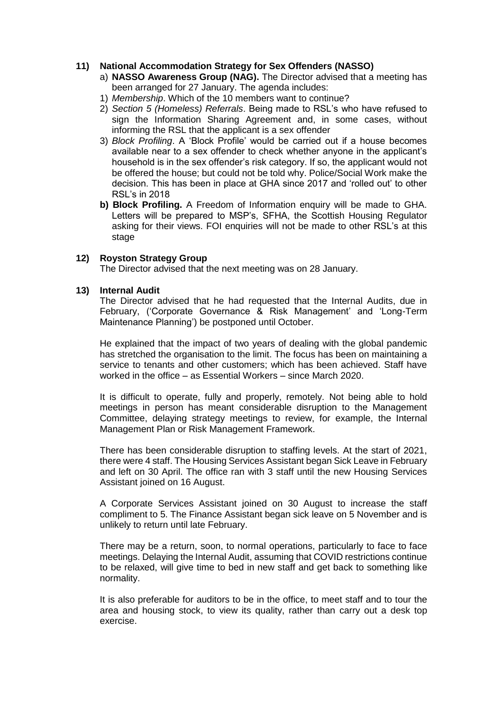### **11) National Accommodation Strategy for Sex Offenders (NASSO)**

- a) **NASSO Awareness Group (NAG).** The Director advised that a meeting has been arranged for 27 January. The agenda includes:
- 1) *Membership*. Which of the 10 members want to continue?
- 2) *Section 5 (Homeless) Referrals*. Being made to RSL's who have refused to sign the Information Sharing Agreement and, in some cases, without informing the RSL that the applicant is a sex offender
- 3) *Block Profiling*. A 'Block Profile' would be carried out if a house becomes available near to a sex offender to check whether anyone in the applicant's household is in the sex offender's risk category. If so, the applicant would not be offered the house; but could not be told why. Police/Social Work make the decision. This has been in place at GHA since 2017 and 'rolled out' to other RSL's in 2018
- **b) Block Profiling.** A Freedom of Information enquiry will be made to GHA. Letters will be prepared to MSP's, SFHA, the Scottish Housing Regulator asking for their views. FOI enquiries will not be made to other RSL's at this stage

## **12) Royston Strategy Group**

The Director advised that the next meeting was on 28 January.

#### **13) Internal Audit**

The Director advised that he had requested that the Internal Audits, due in February, ('Corporate Governance & Risk Management' and 'Long-Term Maintenance Planning') be postponed until October.

He explained that the impact of two years of dealing with the global pandemic has stretched the organisation to the limit. The focus has been on maintaining a service to tenants and other customers; which has been achieved. Staff have worked in the office – as Essential Workers – since March 2020.

It is difficult to operate, fully and properly, remotely. Not being able to hold meetings in person has meant considerable disruption to the Management Committee, delaying strategy meetings to review, for example, the Internal Management Plan or Risk Management Framework.

There has been considerable disruption to staffing levels. At the start of 2021, there were 4 staff. The Housing Services Assistant began Sick Leave in February and left on 30 April. The office ran with 3 staff until the new Housing Services Assistant joined on 16 August.

A Corporate Services Assistant joined on 30 August to increase the staff compliment to 5. The Finance Assistant began sick leave on 5 November and is unlikely to return until late February.

There may be a return, soon, to normal operations, particularly to face to face meetings. Delaying the Internal Audit, assuming that COVID restrictions continue to be relaxed, will give time to bed in new staff and get back to something like normality.

It is also preferable for auditors to be in the office, to meet staff and to tour the area and housing stock, to view its quality, rather than carry out a desk top exercise.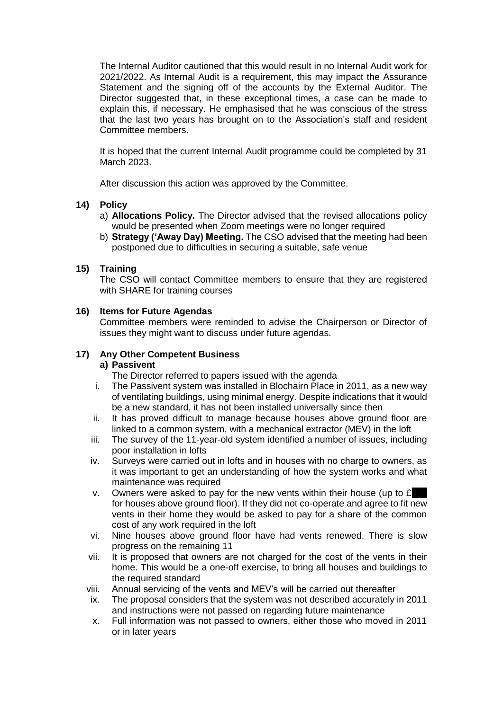The Internal Auditor cautioned that this would result in no Internal Audit work for 2021/2022. As Internal Audit is a requirement, this may impact the Assurance Statement and the signing off of the accounts by the External Auditor. The Director suggested that, in these exceptional times, a case can be made to explain this, if necessary. He emphasised that he was conscious of the stress that the last two years has brought on to the Association's staff and resident Committee members.

It is hoped that the current Internal Audit programme could be completed by 31 March 2023.

After discussion this action was approved by the Committee.

## **14) Policy**

- a) **Allocations Policy.** The Director advised that the revised allocations policy would be presented when Zoom meetings were no longer required
- b) **Strategy ('Away Day) Meeting.** The CSO advised that the meeting had been postponed due to difficulties in securing a suitable, safe venue

## **15) Training**

The CSO will contact Committee members to ensure that they are registered with SHARE for training courses

## **16) Items for Future Agendas**

Committee members were reminded to advise the Chairperson or Director of issues they might want to discuss under future agendas.

# **17) Any Other Competent Business**

# **a) Passivent**

The Director referred to papers issued with the agenda

- i. The Passivent system was installed in Blochairn Place in 2011, as a new way of ventilating buildings, using minimal energy. Despite indications that it would be a new standard, it has not been installed universally since then
- ii. It has proved difficult to manage because houses above ground floor are linked to a common system, with a mechanical extractor (MEV) in the loft
- iii. The survey of the 11-year-old system identified a number of issues, including poor installation in lofts
- iv. Surveys were carried out in lofts and in houses with no charge to owners, as it was important to get an understanding of how the system works and what maintenance was required
- v. Owners were asked to pay for the new vents within their house (up to  $f$ for houses above ground floor). If they did not co-operate and agree to fit new vents in their home they would be asked to pay for a share of the common cost of any work required in the loft
- vi. Nine houses above ground floor have had vents renewed. There is slow progress on the remaining 11
- vii. It is proposed that owners are not charged for the cost of the vents in their home. This would be a one-off exercise, to bring all houses and buildings to the required standard
- viii. Annual servicing of the vents and MEV's will be carried out thereafter
- ix. The proposal considers that the system was not described accurately in 2011 and instructions were not passed on regarding future maintenance
- x. Full information was not passed to owners, either those who moved in 2011 or in later years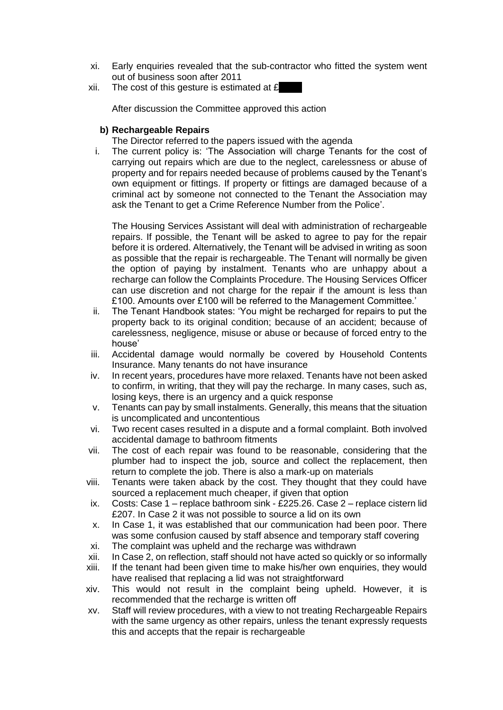- xi. Early enquiries revealed that the sub-contractor who fitted the system went out of business soon after 2011
- xii. The cost of this gesture is estimated at  $E$

After discussion the Committee approved this action

## **b) Rechargeable Repairs**

The Director referred to the papers issued with the agenda

i. The current policy is: 'The Association will charge Tenants for the cost of carrying out repairs which are due to the neglect, carelessness or abuse of property and for repairs needed because of problems caused by the Tenant's own equipment or fittings. If property or fittings are damaged because of a criminal act by someone not connected to the Tenant the Association may ask the Tenant to get a Crime Reference Number from the Police'.

The Housing Services Assistant will deal with administration of rechargeable repairs. If possible, the Tenant will be asked to agree to pay for the repair before it is ordered. Alternatively, the Tenant will be advised in writing as soon as possible that the repair is rechargeable. The Tenant will normally be given the option of paying by instalment. Tenants who are unhappy about a recharge can follow the Complaints Procedure. The Housing Services Officer can use discretion and not charge for the repair if the amount is less than £100. Amounts over £100 will be referred to the Management Committee.'

- ii. The Tenant Handbook states: 'You might be recharged for repairs to put the property back to its original condition; because of an accident; because of carelessness, negligence, misuse or abuse or because of forced entry to the house'
- iii. Accidental damage would normally be covered by Household Contents Insurance. Many tenants do not have insurance
- iv. In recent years, procedures have more relaxed. Tenants have not been asked to confirm, in writing, that they will pay the recharge. In many cases, such as, losing keys, there is an urgency and a quick response
- v. Tenants can pay by small instalments. Generally, this means that the situation is uncomplicated and uncontentious
- vi. Two recent cases resulted in a dispute and a formal complaint. Both involved accidental damage to bathroom fitments
- vii. The cost of each repair was found to be reasonable, considering that the plumber had to inspect the job, source and collect the replacement, then return to complete the job. There is also a mark-up on materials
- viii. Tenants were taken aback by the cost. They thought that they could have sourced a replacement much cheaper, if given that option
- ix. Costs: Case 1 replace bathroom sink £225.26. Case 2 replace cistern lid £207. In Case 2 it was not possible to source a lid on its own
- x. In Case 1, it was established that our communication had been poor. There was some confusion caused by staff absence and temporary staff covering
- xi. The complaint was upheld and the recharge was withdrawn
- xii. In Case 2, on reflection, staff should not have acted so quickly or so informally
- xiii. If the tenant had been given time to make his/her own enquiries, they would have realised that replacing a lid was not straightforward
- xiv. This would not result in the complaint being upheld. However, it is recommended that the recharge is written off
- xv. Staff will review procedures, with a view to not treating Rechargeable Repairs with the same urgency as other repairs, unless the tenant expressly requests this and accepts that the repair is rechargeable